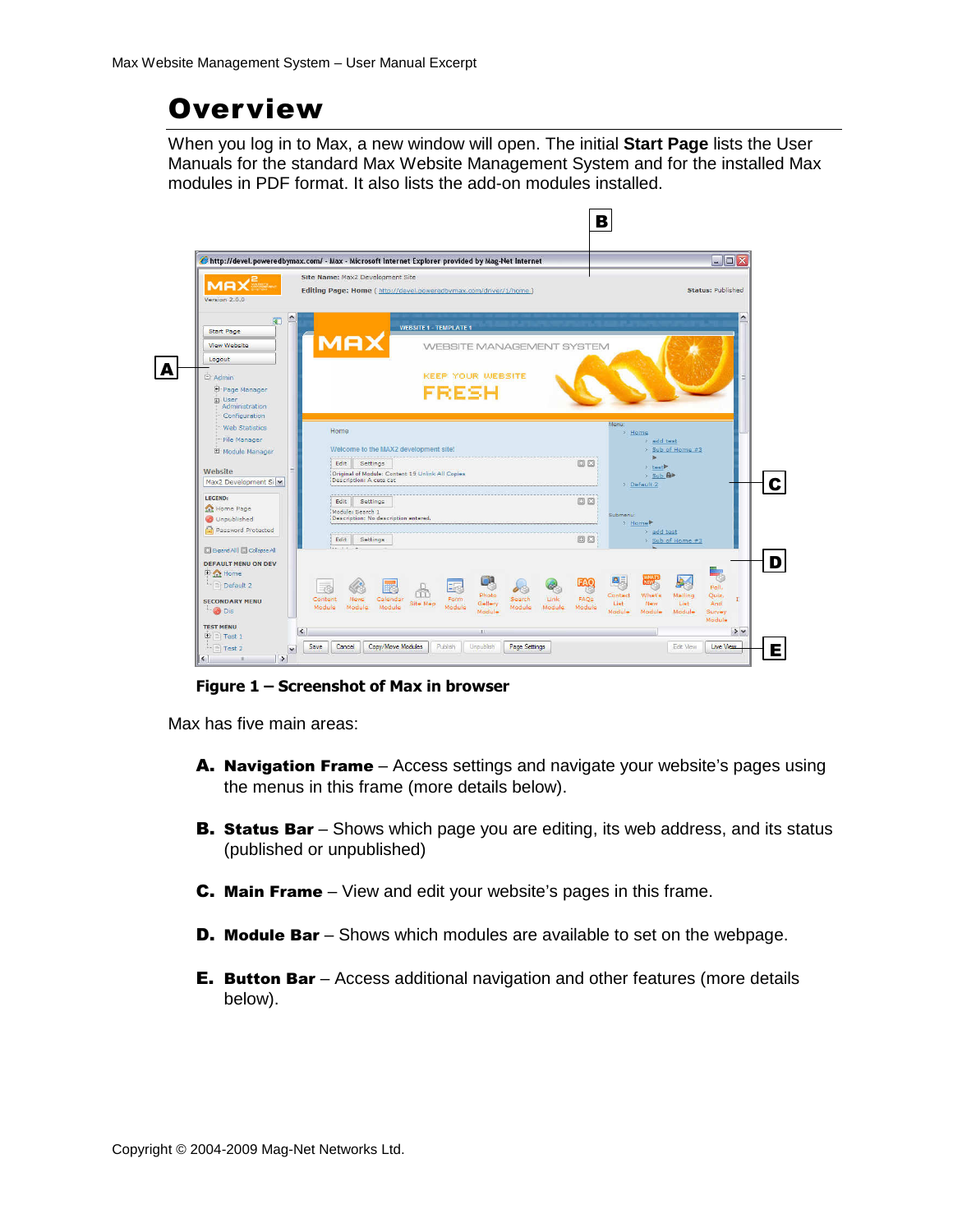## **Overview**

When you log in to Max, a new window will open. The initial **Start Page** lists the User Manuals for the standard Max Website Management System and for the installed Max modules in PDF format. It also lists the add-on modules installed.



Figure 1 – Screenshot of Max in browser

Max has five main areas:

- A. Navigation Frame Access settings and navigate your website's pages using the menus in this frame (more details below).
- **B. Status Bar** Shows which page you are editing, its web address, and its status (published or unpublished)
- C. Main Frame View and edit your website's pages in this frame.
- **D. Module Bar** Shows which modules are available to set on the webpage.
- E. Button Bar Access additional navigation and other features (more details below).